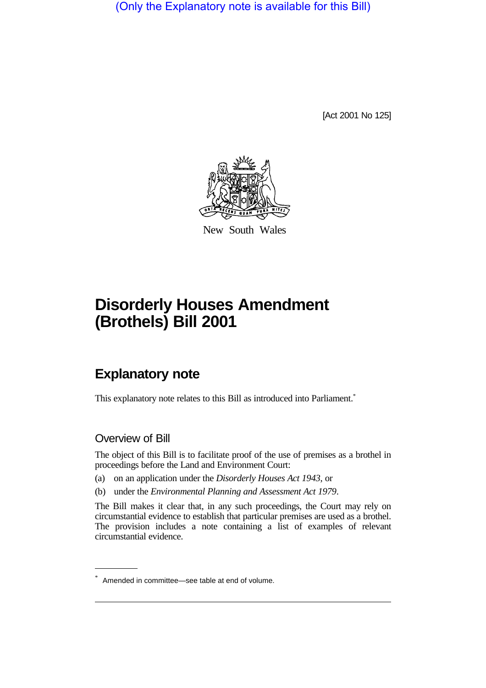(Only the Explanatory note is available for this Bill)

[Act 2001 No 125]



New South Wales

# **Disorderly Houses Amendment (Brothels) Bill 2001**

## **Explanatory note**

This explanatory note relates to this Bill as introduced into Parliament.<sup>\*</sup>

#### Overview of Bill

The object of this Bill is to facilitate proof of the use of premises as a brothel in proceedings before the Land and Environment Court:

- (a) on an application under the *Disorderly Houses Act 1943*, or
- (b) under the *Environmental Planning and Assessment Act 1979*.

The Bill makes it clear that, in any such proceedings, the Court may rely on circumstantial evidence to establish that particular premises are used as a brothel. The provision includes a note containing a list of examples of relevant circumstantial evidence.

<sup>\*</sup> Amended in committee—see table at end of volume.